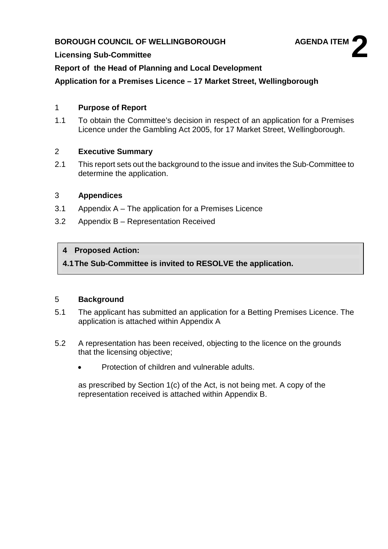## **BOROUGH COUNCIL OF WELLINGBOROUGH AGENDA ITEM**



#### **Licensing Sub-Committee**

**Report of the Head of Planning and Local Development**

**Application for a Premises Licence – 17 Market Street, Wellingborough**

#### 1 **Purpose of Report**

1.1 To obtain the Committee's decision in respect of an application for a Premises Licence under the Gambling Act 2005, for 17 Market Street, Wellingborough.

#### 2 **Executive Summary**

2.1 This report sets out the background to the issue and invites the Sub-Committee to determine the application.

#### 3 **Appendices**

- 3.1 Appendix A The application for a Premises Licence
- 3.2 Appendix B Representation Received

#### **4 Proposed Action:**

**4.1The Sub-Committee is invited to RESOLVE the application.**

#### 5 **Background**

- 5.1 The applicant has submitted an application for a Betting Premises Licence. The application is attached within Appendix A
- 5.2 A representation has been received, objecting to the licence on the grounds that the licensing objective;
	- Protection of children and vulnerable adults.

as prescribed by Section 1(c) of the Act, is not being met. A copy of the representation received is attached within Appendix B.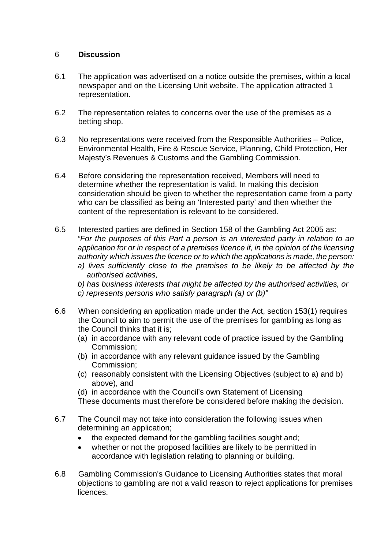#### 6 **Discussion**

- 6.1 The application was advertised on a notice outside the premises, within a local newspaper and on the Licensing Unit website. The application attracted 1 representation.
- 6.2 The representation relates to concerns over the use of the premises as a betting shop.
- 6.3 No representations were received from the Responsible Authorities Police, Environmental Health, Fire & Rescue Service, Planning, Child Protection, Her Majesty's Revenues & Customs and the Gambling Commission.
- 6.4 Before considering the representation received, Members will need to determine whether the representation is valid. In making this decision consideration should be given to whether the representation came from a party who can be classified as being an 'Interested party' and then whether the content of the representation is relevant to be considered.
- 6.5 Interested parties are defined in Section 158 of the Gambling Act 2005 as: *"For the purposes of this Part a person is an interested party in relation to an application for or in respect of a premises licence if, in the opinion of the licensing authority which issues the licence or to which the applications is made, the person:* 
	- *a) lives sufficiently close to the premises to be likely to be affected by the authorised activities,*
	- *b) has business interests that might be affected by the authorised activities, or c) represents persons who satisfy paragraph (a) or (b)"*
- 6.6 When considering an application made under the Act, section 153(1) requires the Council to aim to permit the use of the premises for gambling as long as the Council thinks that it is;
	- (a) in accordance with any relevant code of practice issued by the Gambling Commission;
	- (b) in accordance with any relevant guidance issued by the Gambling Commission;
	- (c) reasonably consistent with the Licensing Objectives (subject to a) and b) above), and
	- (d) in accordance with the Council's own Statement of Licensing These documents must therefore be considered before making the decision.
- 6.7 The Council may not take into consideration the following issues when determining an application;
	- the expected demand for the gambling facilities sought and;
	- whether or not the proposed facilities are likely to be permitted in accordance with legislation relating to planning or building.
- 6.8 Gambling Commission's Guidance to Licensing Authorities states that moral objections to gambling are not a valid reason to reject applications for premises licences.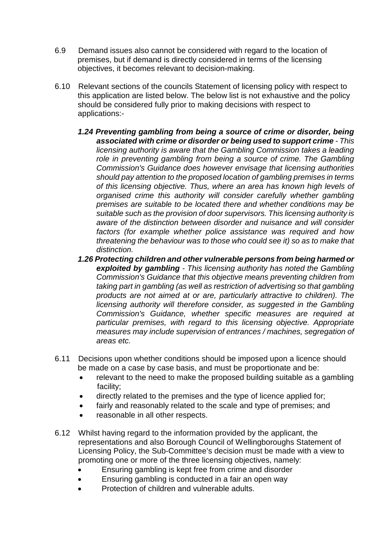- 6.9 Demand issues also cannot be considered with regard to the location of premises, but if demand is directly considered in terms of the licensing objectives, it becomes relevant to decision-making.
- 6.10 Relevant sections of the councils Statement of licensing policy with respect to this application are listed below. The below list is not exhaustive and the policy should be considered fully prior to making decisions with respect to applications:-
	- *1.24 Preventing gambling from being a source of crime or disorder, being associated with crime or disorder or being used to support crime - This licensing authority is aware that the Gambling Commission takes a leading*  role in preventing gambling from being a source of crime. The Gambling *Commission's Guidance does however envisage that licensing authorities should pay attention to the proposed location of gambling premises in terms of this licensing objective. Thus, where an area has known high levels of organised crime this authority will consider carefully whether gambling premises are suitable to be located there and whether conditions may be suitable such as the provision of door supervisors. This licensing authority is aware of the distinction between disorder and nuisance and will consider factors (for example whether police assistance was required and how threatening the behaviour was to those who could see it) so as to make that distinction.*
	- *1.26 Protecting children and other vulnerable persons from being harmed or exploited by gambling - This licensing authority has noted the Gambling Commission's Guidance that this objective means preventing children from taking part in gambling (as well as restriction of advertising so that gambling products are not aimed at or are, particularly attractive to children). The licensing authority will therefore consider, as suggested in the Gambling Commission's Guidance, whether specific measures are required at particular premises, with regard to this licensing objective. Appropriate measures may include supervision of entrances / machines, segregation of areas etc.*
- 6.11 Decisions upon whether conditions should be imposed upon a licence should be made on a case by case basis, and must be proportionate and be:
	- relevant to the need to make the proposed building suitable as a gambling facility;
	- directly related to the premises and the type of licence applied for;
	- fairly and reasonably related to the scale and type of premises; and
	- reasonable in all other respects.
- 6.12 Whilst having regard to the information provided by the applicant, the representations and also Borough Council of Wellingboroughs Statement of Licensing Policy, the Sub-Committee's decision must be made with a view to promoting one or more of the three licensing objectives, namely:
	- Ensuring gambling is kept free from crime and disorder
	- Ensuring gambling is conducted in a fair an open way
	- Protection of children and vulnerable adults.